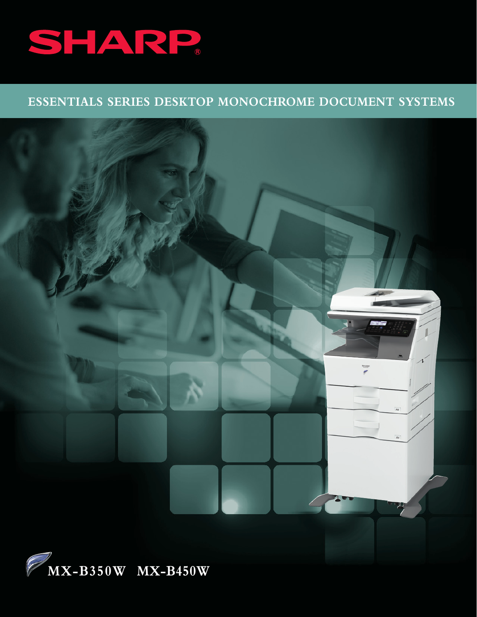

# **ESSENTIALS SERIES DESKTOP MONOCHROME DOCUMENT SYSTEMS**

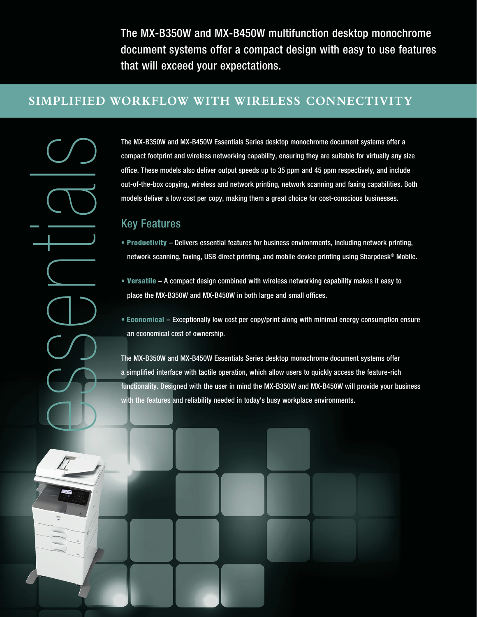The MX-B350W and MX-B450W multifunction desktop monochrome document systems offer a compact design with easy to use features that will exceed your expectations.

### **SIMPLIFIED WORKFLOW WITH WIRELESS CONNECTIVITY**

The MX-B350W and MX-B450W Essentials Series desktop monochrome document systems offer a<br>compact fotopirmi and wireless anetworking capability, ensuring they are suitable for virtually any<br>out-of-the-box copying, wireless a compact footprint and wireless networking capability, ensuring they are suitable for virtually any size office. These models also deliver output speeds up to 35 ppm and 45 ppm respectively, and include out-of-the-box copying, wireless and network printing, network scanning and faxing capabilities. Both models deliver a low cost per copy, making them a great choice for cost-conscious businesses.

#### Key Features

- Productivity Delivers essential features for business environments, including network printing, network scanning, faxing, USB direct printing, and mobile device printing using Sharpdesk® Mobile.
- Versatile A compact design combined with wireless networking capability makes it easy to place the MX-B350W and MX-B450W in both large and small offices.
- Economical Exceptionally low cost per copy/print along with minimal energy consumption ensure an economical cost of ownership.

The MX-B350W and MX-B450W Essentials Series desktop monochrome document systems offer a simplified interface with tactile operation, which allow users to quickly access the feature-rich functionality. Designed with the user in mind the MX-B350W and MX-B450W will provide your business with the features and reliability needed in today's busy workplace environments.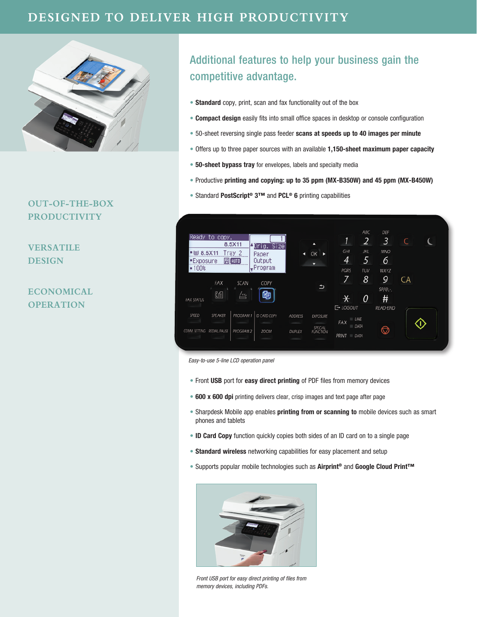

#### **OUT-OF-THE-BOX PRODUCTIVITY**

**VERSATILE DESIGN**

**ECONOMICAL OPERATION**

# Additional features to help your business gain the competitive advantage.

- Standard copy, print, scan and fax functionality out of the box
- Compact design easily fits into small office spaces in desktop or console configuration
- 50-sheet reversing single pass feeder scans at speeds up to 40 images per minute
- Offers up to three paper sources with an available 1,150-sheet maximum paper capacity
- 50-sheet bypass tray for envelopes, labels and specialty media
- Productive printing and copying: up to 35 ppm (MX-B350W) and 45 ppm (MX-B450W)
- Standard PostScript<sup>®</sup> 3<sup>™</sup> and PCL<sup>®</sup> 6 printing capabilities



*Easy-to-use 5-line LCD operation panel*

- Front USB port for easy direct printing of PDF files from memory devices
- 600 x 600 dpi printing delivers clear, crisp images and text page after page
- Sharpdesk Mobile app enables printing from or scanning to mobile devices such as smart phones and tablets
- ID Card Copy function quickly copies both sides of an ID card on to a single page
- Standard wireless networking capabilities for easy placement and setup
- Supports popular mobile technologies such as Airprint® and Google Cloud Print™



*Front USB port for easy direct printing of files from memory devices, including PDFs.*